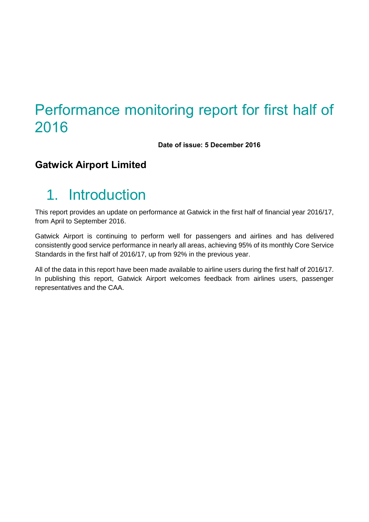# Performance monitoring report for first half of 2016

**Date of issue: 5 December 2016**

### **Gatwick Airport Limited**

# 1. Introduction

This report provides an update on performance at Gatwick in the first half of financial year 2016/17, from April to September 2016.

Gatwick Airport is continuing to perform well for passengers and airlines and has delivered consistently good service performance in nearly all areas, achieving 95% of its monthly Core Service Standards in the first half of 2016/17, up from 92% in the previous year.

All of the data in this report have been made available to airline users during the first half of 2016/17. In publishing this report, Gatwick Airport welcomes feedback from airlines users, passenger representatives and the CAA.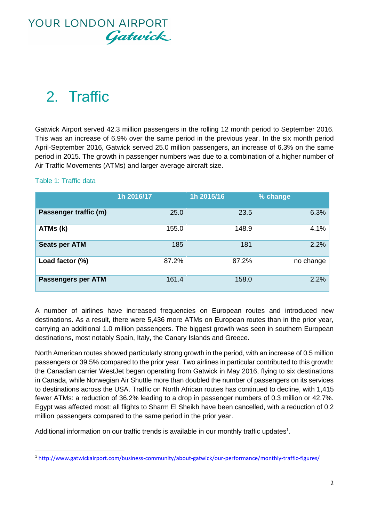

# 2. Traffic

Gatwick Airport served 42.3 million passengers in the rolling 12 month period to September 2016. This was an increase of 6.9% over the same period in the previous year. In the six month period April-September 2016, Gatwick served 25.0 million passengers, an increase of 6.3% on the same period in 2015. The growth in passenger numbers was due to a combination of a higher number of Air Traffic Movements (ATMs) and larger average aircraft size.

### Table 1: Traffic data

 $\overline{\phantom{a}}$ 

|                           | 1h 2016/17 | 1h 2015/16 | % change  |
|---------------------------|------------|------------|-----------|
| Passenger traffic (m)     | 25.0       | 23.5       | 6.3%      |
| ATMs (k)                  | 155.0      | 148.9      | 4.1%      |
| <b>Seats per ATM</b>      | 185        | 181        | 2.2%      |
| Load factor (%)           | 87.2%      | 87.2%      | no change |
| <b>Passengers per ATM</b> | 161.4      | 158.0      | 2.2%      |

A number of airlines have increased frequencies on European routes and introduced new destinations. As a result, there were 5,436 more ATMs on European routes than in the prior year, carrying an additional 1.0 million passengers. The biggest growth was seen in southern European destinations, most notably Spain, Italy, the Canary Islands and Greece.

North American routes showed particularly strong growth in the period, with an increase of 0.5 million passengers or 39.5% compared to the prior year. Two airlines in particular contributed to this growth: the Canadian carrier WestJet began operating from Gatwick in May 2016, flying to six destinations in Canada, while Norwegian Air Shuttle more than doubled the number of passengers on its services to destinations across the USA. Traffic on North African routes has continued to decline, with 1,415 fewer ATMs: a reduction of 36.2% leading to a drop in passenger numbers of 0.3 million or 42.7%. Egypt was affected most: all flights to Sharm El Sheikh have been cancelled, with a reduction of 0.2 million passengers compared to the same period in the prior year.

Additional information on our traffic trends is available in our monthly traffic updates<sup>1</sup>.

<sup>1</sup> <http://www.gatwickairport.com/business-community/about-gatwick/our-performance/monthly-traffic-figures/>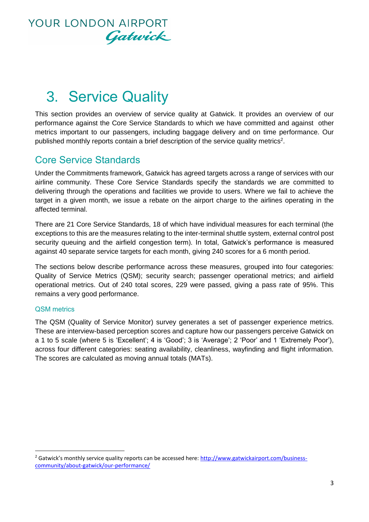

# 3. Service Quality

This section provides an overview of service quality at Gatwick. It provides an overview of our performance against the Core Service Standards to which we have committed and against other metrics important to our passengers, including baggage delivery and on time performance. Our published monthly reports contain a brief description of the service quality metrics<sup>2</sup>.

### Core Service Standards

Under the Commitments framework, Gatwick has agreed targets across a range of services with our airline community. These Core Service Standards specify the standards we are committed to delivering through the operations and facilities we provide to users. Where we fail to achieve the target in a given month, we issue a rebate on the airport charge to the airlines operating in the affected terminal.

There are 21 Core Service Standards, 18 of which have individual measures for each terminal (the exceptions to this are the measures relating to the inter-terminal shuttle system, external control post security queuing and the airfield congestion term). In total, Gatwick's performance is measured against 40 separate service targets for each month, giving 240 scores for a 6 month period.

The sections below describe performance across these measures, grouped into four categories: Quality of Service Metrics (QSM); security search; passenger operational metrics; and airfield operational metrics. Out of 240 total scores, 229 were passed, giving a pass rate of 95%. This remains a very good performance.

### QSM metrics

 $\overline{\phantom{a}}$ 

The QSM (Quality of Service Monitor) survey generates a set of passenger experience metrics. These are interview-based perception scores and capture how our passengers perceive Gatwick on a 1 to 5 scale (where 5 is 'Excellent'; 4 is 'Good'; 3 is 'Average'; 2 'Poor' and 1 'Extremely Poor'), across four different categories: seating availability, cleanliness, wayfinding and flight information. The scores are calculated as moving annual totals (MATs).

 $<sup>2</sup>$  Gatwick's monthly service quality reports can be accessed here: http://www.gatwickairport.com/business-</sup> [community/about-gatwick/our-performance/](http://www.gatwickairport.com/business-community/about-gatwick/our-performance/)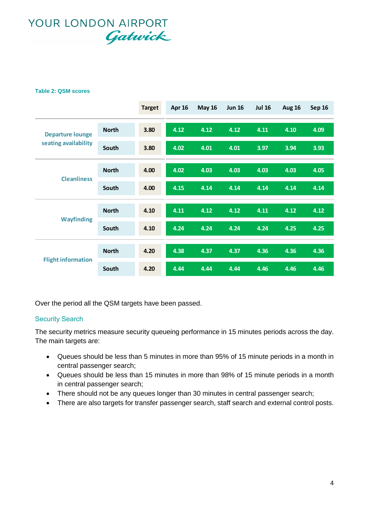#### **Table 2: QSM scores**

|                                                 |              | <b>Target</b> | <b>Apr 16</b> | <b>May 16</b> | <b>Jun 16</b> | <b>Jul 16</b> | <b>Aug 16</b> | Sep 16 |
|-------------------------------------------------|--------------|---------------|---------------|---------------|---------------|---------------|---------------|--------|
| <b>Departure lounge</b><br>seating availability | <b>North</b> | 3.80          | 4.12          | 4.12          | 4.12          | 4.11          | 4.10          | 4.09   |
|                                                 | South        | 3.80          | 4.02          | 4.01          | 4.01          | 3.97          | 3.94          | 3.93   |
| <b>Cleanliness</b>                              | <b>North</b> | 4.00          | 4.02          | 4.03          | 4.03          | 4.03          | 4.03          | 4.05   |
|                                                 | South        | 4.00          | 4.15          | 4.14          | 4.14          | 4.14          | 4.14          | 4.14   |
| <b>Wayfinding</b>                               | <b>North</b> | 4.10          | 4.11          | 4.12          | 4.12          | 4.11          | 4.12          | 4.12   |
|                                                 | South        | 4.10          | 4.24          | 4.24          | 4.24          | 4.24          | 4.25          | 4.25   |
| <b>Flight information</b>                       | <b>North</b> | 4.20          | 4.38          | 4.37          | 4.37          | 4.36          | 4.36          | 4.36   |
|                                                 | South        | 4.20          | 4.44          | 4.44          | 4.44          | 4.46          | 4.46          | 4.46   |

Over the period all the QSM targets have been passed.

### Security Search

The security metrics measure security queueing performance in 15 minutes periods across the day. The main targets are:

- Queues should be less than 5 minutes in more than 95% of 15 minute periods in a month in central passenger search;
- Queues should be less than 15 minutes in more than 98% of 15 minute periods in a month in central passenger search;
- There should not be any queues longer than 30 minutes in central passenger search;
- There are also targets for transfer passenger search, staff search and external control posts.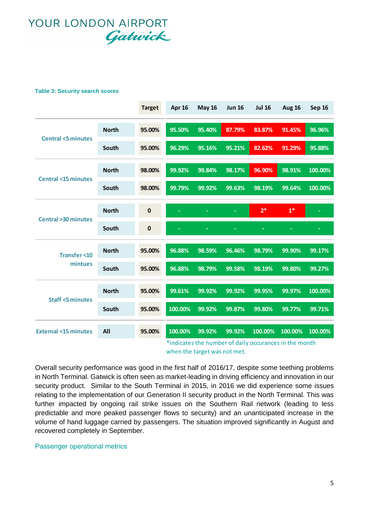#### **Table 3: Security search scores**

|                                                         |              | <b>Target</b> | Apr 16  | <b>May 16</b> | <b>Jun 16</b> | <b>Jul 16</b>                                          | <b>Aug 16</b> | Sep 16  |
|---------------------------------------------------------|--------------|---------------|---------|---------------|---------------|--------------------------------------------------------|---------------|---------|
|                                                         | <b>North</b> | 95.00%        | 95.50%  | 95.40%        | 87.79%        | 83.87%                                                 | 91.45%        | 96.96%  |
| <b>Central &lt;5 minutes</b>                            | South        | 95.00%        | 96.29%  | 95.16%        | 95.21%        | 82.62%                                                 | 91.29%        | 95.88%  |
|                                                         | <b>North</b> | 98.00%        | 99.92%  | 99.84%        | 98.17%        | 96.90%                                                 | 98.91%        | 100.00% |
| <b>Central &lt;15 minutes</b>                           | South        | 98.00%        | 99.79%  | 99.92%        | 99.63%        | 98.19%                                                 | 99.64%        | 100.00% |
|                                                         | <b>North</b> | $\bf{0}$      |         |               |               | $2*$                                                   | $1*$          |         |
| <b>Central &gt;30 minutes</b><br><b>Transfer &lt;10</b> | South        | $\pmb{0}$     |         |               |               |                                                        |               | ÷       |
|                                                         | <b>North</b> | 95.00%        | 96.88%  | 98.59%        | 96.46%        | 98.79%                                                 | 99.90%        | 99.17%  |
| mintues                                                 | South        | 95.00%        | 96.88%  | 98.79%        | 99.58%        | 98.19%                                                 | 99.80%        | 99.27%  |
|                                                         | <b>North</b> | 95.00%        | 99.61%  | 99.92%        | 99.92%        | 99.95%                                                 | 99.97%        | 100.00% |
| <b>Staff &lt;5 minutes</b>                              | South        | 95.00%        | 100.00% | 99.92%        | 99.87%        | 99.80%                                                 | 99.77%        | 99.71%  |
| <b>External &lt;15 minutes</b>                          | All          | 95.00%        | 100.00% | 99.92%        | 99.92%        | 100.00%                                                | 100.00%       | 100.00% |
|                                                         |              |               |         |               |               | *indicates the number of daily occurances in the month |               |         |

when the target was not met.

Overall security performance was good in the first half of 2016/17, despite some teething problems in North Terminal. Gatwick is often seen as market-leading in driving efficiency and innovation in our security product. Similar to the South Terminal in 2015, in 2016 we did experience some issues relating to the implementation of our Generation II security product in the North Terminal. This was further impacted by ongoing rail strike issues on the Southern Rail network (leading to less predictable and more peaked passenger flows to security) and an unanticipated increase in the volume of hand luggage carried by passengers. The situation improved significantly in August and recovered completely in September.

### Passenger operational metrics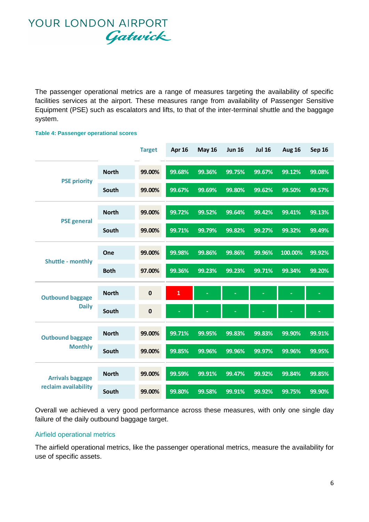The passenger operational metrics are a range of measures targeting the availability of specific facilities services at the airport. These measures range from availability of Passenger Sensitive Equipment (PSE) such as escalators and lifts, to that of the inter-terminal shuttle and the baggage system.

### **Target Apr 16 May 16 Jun 16 Jul 16 Aug 16 Sep 16 North 99.00% 99.68% 99.36% 99.75% 99.67% 99.12% 99.08% South 99.00% 99.67% 99.69% 99.80% 99.62% 99.50% 99.57% North 99.00% 99.72% 99.52% 99.64% 99.42% 99.41% 99.13% South 99.00% 99.71% 99.79% 99.82% 99.27% 99.32% 99.49% One 99.00% 99.98% 99.86% 99.86% 99.96% 100.00% 99.92% Both 97.00% 99.36% 99.23% 99.23% 99.71% 99.34% 99.20% North 0 1 - - - - - South 0 - - - - - - North 99.00% 99.71% 99.95% 99.83% 99.83% 99.90% 99.91% South 99.00% 99.85% 99.96% 99.96% 99.97% 99.96% 99.95% North 99.00% 99.59% 99.91% 99.47% 99.92% 99.84% 99.85% South 99.00% 99.80% 99.58% 99.91% 99.92% 99.75% 99.90% PSE priority PSE general Shuttle - monthly Outbound baggage Daily Outbound baggage Monthly Arrivals baggage reclaim availability**

**Table 4: Passenger operational scores**

Overall we achieved a very good performance across these measures, with only one single day failure of the daily outbound baggage target.

### Airfield operational metrics

The airfield operational metrics, like the passenger operational metrics, measure the availability for use of specific assets.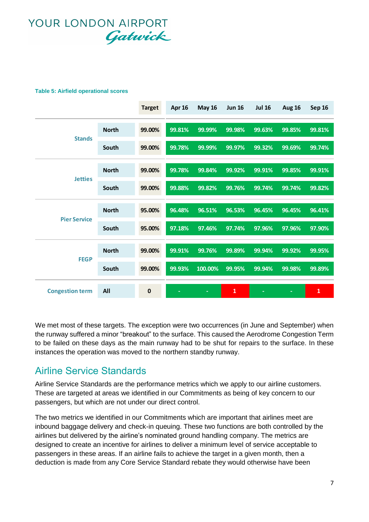#### **Table 5: Airfield operational scores**

|                        |              | <b>Target</b> | <b>Apr 16</b> | <b>May 16</b> | <b>Jun 16</b> | <b>Jul 16</b> | <b>Aug 16</b> | <b>Sep 16</b> |
|------------------------|--------------|---------------|---------------|---------------|---------------|---------------|---------------|---------------|
|                        | <b>North</b> | 99.00%        | 99.81%        | 99.99%        | 99.98%        | 99.63%        | 99.85%        | 99.81%        |
| <b>Stands</b>          | South        | 99.00%        | 99.78%        | 99.99%        | 99.97%        | 99.32%        | 99.69%        | 99.74%        |
|                        | <b>North</b> | 99.00%        | 99.78%        | 99.84%        | 99.92%        | 99.91%        | 99.85%        | 99.91%        |
| <b>Jetties</b>         | South        | 99.00%        | 99.88%        | 99.82%        | 99.76%        | 99.74%        | 99.74%        | 99.82%        |
|                        | <b>North</b> | 95.00%        | 96.48%        | 96.51%        | 96.53%        | 96.45%        | 96.45%        | 96.41%        |
| <b>Pier Service</b>    | South        | 95.00%        | 97.18%        | 97.46%        | 97.74%        | 97.96%        | 97.96%        | 97.90%        |
|                        | <b>North</b> | 99.00%        | 99.91%        | 99.76%        | 99.89%        | 99.94%        | 99.92%        | 99.95%        |
| <b>FEGP</b>            | South        | 99.00%        | 99.93%        | 100.00%       | 99.95%        | 99.94%        | 99.98%        | 99.89%        |
| <b>Congestion term</b> | All          | $\bf{0}$      |               | ٠             | $\mathbf{1}$  |               |               | $\mathbf{1}$  |

We met most of these targets. The exception were two occurrences (in June and September) when the runway suffered a minor "breakout" to the surface. This caused the Aerodrome Congestion Term to be failed on these days as the main runway had to be shut for repairs to the surface. In these instances the operation was moved to the northern standby runway.

### Airline Service Standards

Airline Service Standards are the performance metrics which we apply to our airline customers. These are targeted at areas we identified in our Commitments as being of key concern to our passengers, but which are not under our direct control.

The two metrics we identified in our Commitments which are important that airlines meet are inbound baggage delivery and check-in queuing. These two functions are both controlled by the airlines but delivered by the airline's nominated ground handling company. The metrics are designed to create an incentive for airlines to deliver a minimum level of service acceptable to passengers in these areas. If an airline fails to achieve the target in a given month, then a deduction is made from any Core Service Standard rebate they would otherwise have been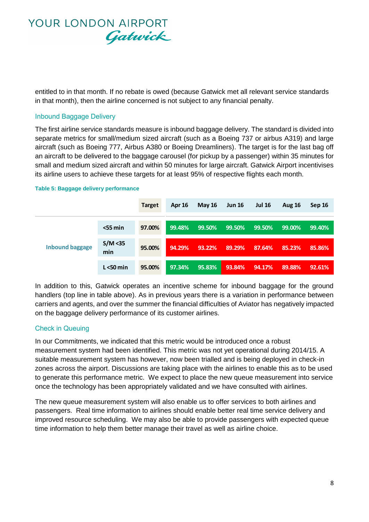

entitled to in that month. If no rebate is owed (because Gatwick met all relevant service standards in that month), then the airline concerned is not subject to any financial penalty.

### Inbound Baggage Delivery

The first airline service standards measure is inbound baggage delivery. The standard is divided into separate metrics for small/medium sized aircraft (such as a Boeing 737 or airbus A319) and large aircraft (such as Boeing 777, Airbus A380 or Boeing Dreamliners). The target is for the last bag off an aircraft to be delivered to the baggage carousel (for pickup by a passenger) within 35 minutes for small and medium sized aircraft and within 50 minutes for large aircraft. Gatwick Airport incentivises its airline users to achieve these targets for at least 95% of respective flights each month.

|                        |                 | <b>Target</b> | <b>Apr 16</b> | <b>May 16</b> | <b>Jun 16</b> | <b>Jul 16</b> | <b>Aug 16</b> | Sep 16 |
|------------------------|-----------------|---------------|---------------|---------------|---------------|---------------|---------------|--------|
| <b>Inbound baggage</b> | $<$ 55 min      | 97.00%        | 99.48%        | 99.50%        | 99.50%        | 99.50%        | 99.00%        | 99.40% |
|                        | S/M < 35<br>min | 95.00%        | 94.29%        | 93.22%        | 89.29%        | 87.64%        | 85.23%        | 85.86% |
|                        | $L < 50$ min    | 95.00%        | 97.34%        | 95.83%        | 93.84%        | 94.17%        | 89.88%        | 92.61% |

#### **Table 5: Baggage delivery performance**

In addition to this, Gatwick operates an incentive scheme for inbound baggage for the ground handlers (top line in table above). As in previous years there is a variation in performance between carriers and agents, and over the summer the financial difficulties of Aviator has negatively impacted on the baggage delivery performance of its customer airlines.

### Check in Queuing

In our Commitments, we indicated that this metric would be introduced once a robust measurement system had been identified. This metric was not yet operational during 2014/15. A suitable measurement system has however, now been trialled and is being deployed in check-in zones across the airport. Discussions are taking place with the airlines to enable this as to be used to generate this performance metric. We expect to place the new queue measurement into service once the technology has been appropriately validated and we have consulted with airlines.

The new queue measurement system will also enable us to offer services to both airlines and passengers. Real time information to airlines should enable better real time service delivery and improved resource scheduling. We may also be able to provide passengers with expected queue time information to help them better manage their travel as well as airline choice.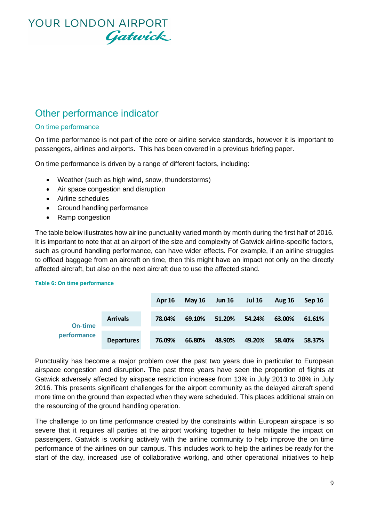### Other performance indicator

### On time performance

On time performance is not part of the core or airline service standards, however it is important to passengers, airlines and airports. This has been covered in a previous briefing paper.

On time performance is driven by a range of different factors, including:

- Weather (such as high wind, snow, thunderstorms)
- Air space congestion and disruption
- Airline schedules
- Ground handling performance
- Ramp congestion

The table below illustrates how airline punctuality varied month by month during the first half of 2016. It is important to note that at an airport of the size and complexity of Gatwick airline-specific factors, such as ground handling performance, can have wider effects. For example, if an airline struggles to offload baggage from an aircraft on time, then this might have an impact not only on the directly affected aircraft, but also on the next aircraft due to use the affected stand.

#### **Table 6: On time performance**

|             |                   | <b>Apr 16</b> | May $16$ | <b>Jun 16</b> | <b>Jul 16</b> | <b>Aug 16</b> | Sep 16 |
|-------------|-------------------|---------------|----------|---------------|---------------|---------------|--------|
| On-time     | <b>Arrivals</b>   | 78.04%        | 69.10%   | 51.20%        | 54.24%        | 63.00%        | 61.61% |
| performance | <b>Departures</b> | 76.09%        | 66.80%   | 48.90%        | 49.20%        | 58.40%        | 58.37% |

Punctuality has become a major problem over the past two years due in particular to European airspace congestion and disruption. The past three years have seen the proportion of flights at Gatwick adversely affected by airspace restriction increase from 13% in July 2013 to 38% in July 2016. This presents significant challenges for the airport community as the delayed aircraft spend more time on the ground than expected when they were scheduled. This places additional strain on the resourcing of the ground handling operation.

The challenge to on time performance created by the constraints within European airspace is so severe that it requires all parties at the airport working together to help mitigate the impact on passengers. Gatwick is working actively with the airline community to help improve the on time performance of the airlines on our campus. This includes work to help the airlines be ready for the start of the day, increased use of collaborative working, and other operational initiatives to help